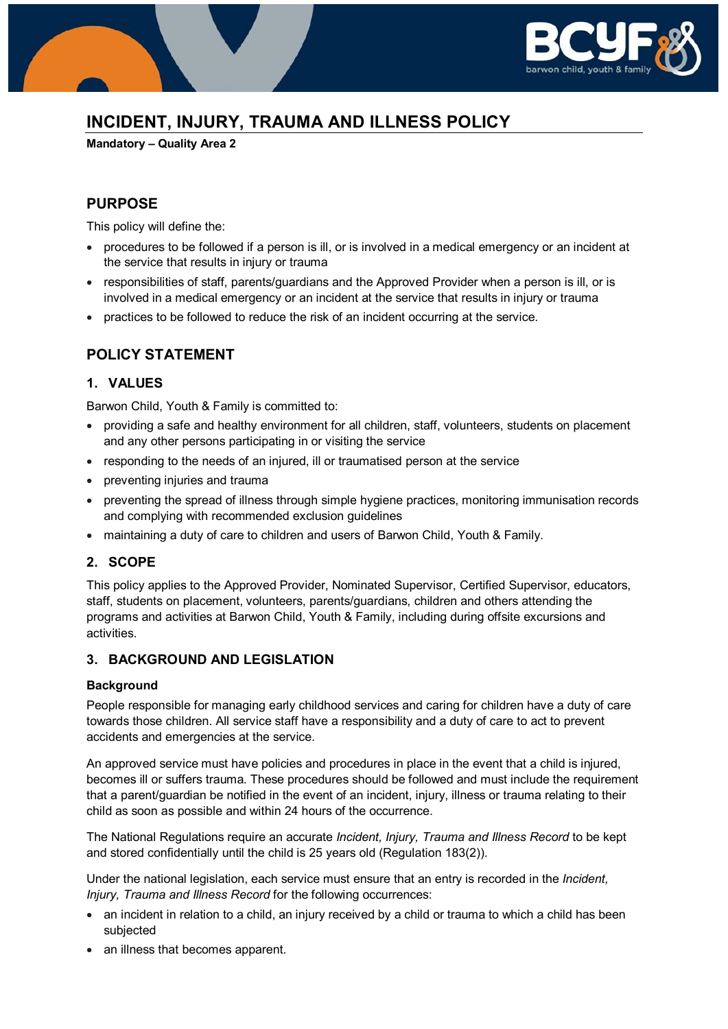

# **INCIDENT, INJURY, TRAUMA AND ILLNESS POLICY**

**Mandatory – Quality Area 2**

# **PURPOSE**

This policy will define the:

- procedures to be followed if a person is ill, or is involved in a medical emergency or an incident at the service that results in injury or trauma
- responsibilities of staff, parents/guardians and the Approved Provider when a person is ill, or is involved in a medical emergency or an incident at the service that results in injury or trauma
- practices to be followed to reduce the risk of an incident occurring at the service.

### **POLICY STATEMENT**

### **1. VALUES**

Barwon Child, Youth & Family is committed to:

- providing a safe and healthy environment for all children, staff, volunteers, students on placement and any other persons participating in or visiting the service
- responding to the needs of an injured, ill or traumatised person at the service
- preventing injuries and trauma
- preventing the spread of illness through simple hygiene practices, monitoring immunisation records and complying with recommended exclusion guidelines
- maintaining a duty of care to children and users of Barwon Child, Youth & Family.

### **2. SCOPE**

This policy applies to the Approved Provider, Nominated Supervisor, Certified Supervisor, educators, staff, students on placement, volunteers, parents/guardians, children and others attending the programs and activities at Barwon Child, Youth & Family, including during offsite excursions and activities.

### **3. BACKGROUND AND LEGISLATION**

#### **Background**

People responsible for managing early childhood services and caring for children have a duty of care towards those children. All service staff have a responsibility and a duty of care to act to prevent accidents and emergencies at the service.

An approved service must have policies and procedures in place in the event that a child is injured, becomes ill or suffers trauma. These procedures should be followed and must include the requirement that a parent/guardian be notified in the event of an incident, injury, illness or trauma relating to their child as soon as possible and within 24 hours of the occurrence.

The National Regulations require an accurate *Incident, Injury, Trauma and Illness Record* to be kept and stored confidentially until the child is 25 years old (Regulation 183(2)).

Under the national legislation, each service must ensure that an entry is recorded in the *Incident, Injury, Trauma and Illness Record* for the following occurrences:

- an incident in relation to a child, an injury received by a child or trauma to which a child has been subjected
- an illness that becomes apparent.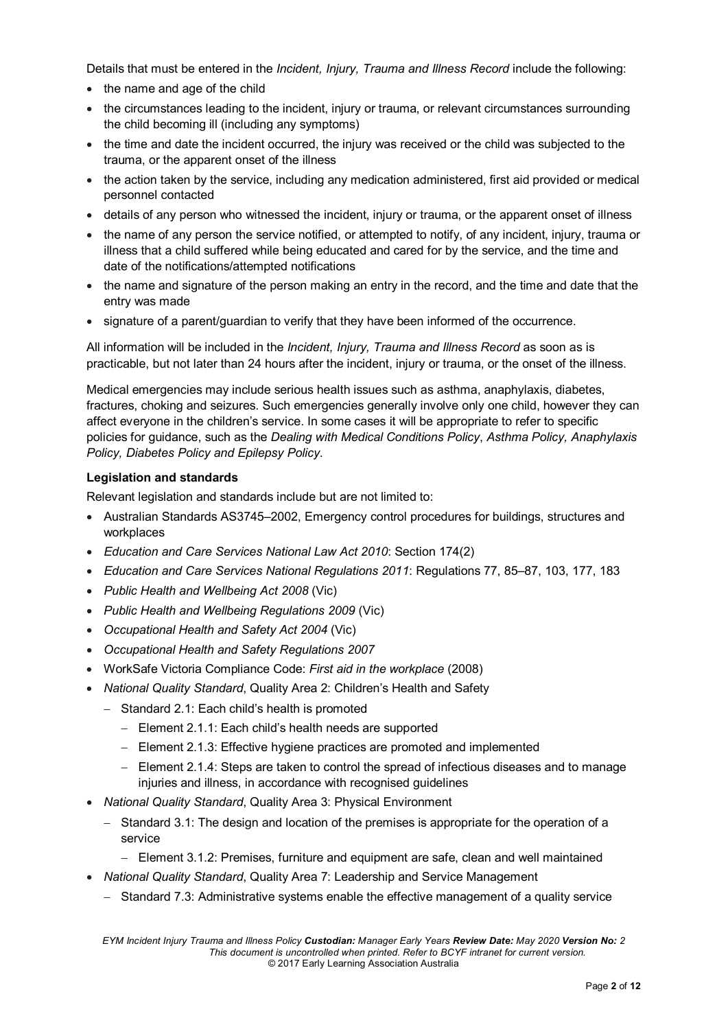Details that must be entered in the *Incident, Injury, Trauma and Illness Record* include the following:

- the name and age of the child
- the circumstances leading to the incident, injury or trauma, or relevant circumstances surrounding the child becoming ill (including any symptoms)
- the time and date the incident occurred, the injury was received or the child was subjected to the trauma, or the apparent onset of the illness
- the action taken by the service, including any medication administered, first aid provided or medical personnel contacted
- details of any person who witnessed the incident, injury or trauma, or the apparent onset of illness
- the name of any person the service notified, or attempted to notify, of any incident, injury, trauma or illness that a child suffered while being educated and cared for by the service, and the time and date of the notifications/attempted notifications
- the name and signature of the person making an entry in the record, and the time and date that the entry was made
- signature of a parent/guardian to verify that they have been informed of the occurrence.

All information will be included in the *Incident, Injury, Trauma and Illness Record* as soon as is practicable, but not later than 24 hours after the incident, injury or trauma, or the onset of the illness.

Medical emergencies may include serious health issues such as asthma, anaphylaxis, diabetes, fractures, choking and seizures. Such emergencies generally involve only one child, however they can affect everyone in the children's service. In some cases it will be appropriate to refer to specific policies for guidance, such as the *Dealing with Medical Conditions Policy*, *Asthma Policy, Anaphylaxis Policy, Diabetes Policy and Epilepsy Policy*.

#### **Legislation and standards**

Relevant legislation and standards include but are not limited to:

- Australian Standards AS3745–2002, Emergency control procedures for buildings, structures and workplaces
- *Education and Care Services National Law Act 2010*: Section 174(2)
- *Education and Care Services National Regulations 2011*: Regulations 77, 85–87, 103, 177, 183
- *Public Health and Wellbeing Act 2008* (Vic)
- *Public Health and Wellbeing Regulations 2009* (Vic)
- *Occupational Health and Safety Act 2004* (Vic)
- *Occupational Health and Safety Regulations 2007*
- WorkSafe Victoria Compliance Code: *First aid in the workplace* (2008)
- *National Quality Standard*, Quality Area 2: Children's Health and Safety
	- − Standard 2.1: Each child's health is promoted
		- − Element 2.1.1: Each child's health needs are supported
		- − Element 2.1.3: Effective hygiene practices are promoted and implemented
		- − Element 2.1.4: Steps are taken to control the spread of infectious diseases and to manage injuries and illness, in accordance with recognised guidelines
- *National Quality Standard*, Quality Area 3: Physical Environment
	- − Standard 3.1: The design and location of the premises is appropriate for the operation of a service
		- − Element 3.1.2: Premises, furniture and equipment are safe, clean and well maintained
- *National Quality Standard*, Quality Area 7: Leadership and Service Management
	- − Standard 7.3: Administrative systems enable the effective management of a quality service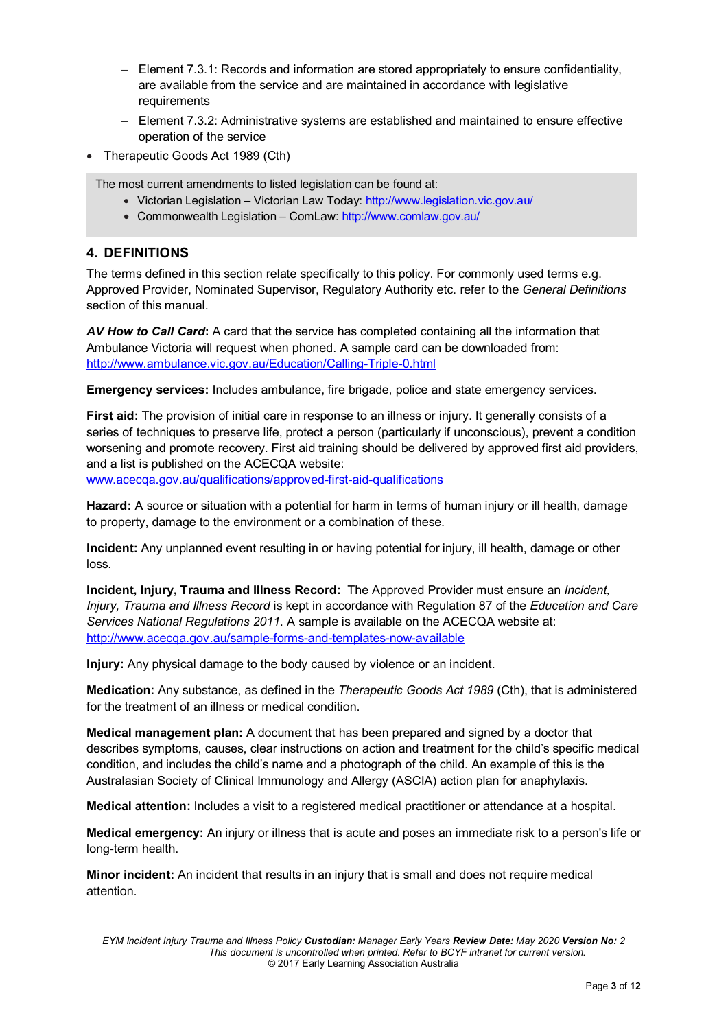- − Element 7.3.1: Records and information are stored appropriately to ensure confidentiality, are available from the service and are maintained in accordance with legislative requirements
- − Element 7.3.2: Administrative systems are established and maintained to ensure effective operation of the service
- Therapeutic Goods Act 1989 (Cth)

The most current amendments to listed legislation can be found at:

- Victorian Legislation Victorian Law Today:<http://www.legislation.vic.gov.au/>
- Commonwealth Legislation ComLaw[: http://www.comlaw.gov.au/](http://www.comlaw.gov.au/)

### **4. DEFINITIONS**

The terms defined in this section relate specifically to this policy. For commonly used terms e.g. Approved Provider, Nominated Supervisor, Regulatory Authority etc. refer to the *General Definitions* section of this manual.

*AV How to Call Card***:** A card that the service has completed containing all the information that Ambulance Victoria will request when phoned. A sample card can be downloaded from: <http://www.ambulance.vic.gov.au/Education/Calling-Triple-0.html>

**Emergency services:** Includes ambulance, fire brigade, police and state emergency services.

**First aid:** The provision of initial care in response to an illness or injury. It generally consists of a series of techniques to preserve life, protect a person (particularly if unconscious), prevent a condition worsening and promote recovery. First aid training should be delivered by approved first aid providers, and a list is published on the ACECQA website:

[www.acecqa.gov.au/qualifications/approved-first-aid-qualifications](http://www.acecqa.gov.au/qualifications/approved-first-aid-qualifications)

**Hazard:** A source or situation with a potential for harm in terms of human injury or ill health, damage to property, damage to the environment or a combination of these.

**Incident:** Any unplanned event resulting in or having potential for injury, ill health, damage or other loss.

**Incident, Injury, Trauma and Illness Record:** The Approved Provider must ensure an *Incident, Injury, Trauma and Illness Record* is kept in accordance with Regulation 87 of the *Education and Care Services National Regulations 2011*. A sample is available on the ACECQA website at: <http://www.acecqa.gov.au/sample-forms-and-templates-now-available>

**Injury:** Any physical damage to the body caused by violence or an incident.

**Medication:** Any substance, as defined in the *Therapeutic Goods Act 1989* (Cth), that is administered for the treatment of an illness or medical condition.

**Medical management plan:** A document that has been prepared and signed by a doctor that describes symptoms, causes, clear instructions on action and treatment for the child's specific medical condition, and includes the child's name and a photograph of the child. An example of this is the Australasian Society of Clinical Immunology and Allergy (ASCIA) action plan for anaphylaxis.

**Medical attention:** Includes a visit to a registered medical practitioner or attendance at a hospital.

**Medical emergency:** An injury or illness that is acute and poses an immediate risk to a person's life or long-term health.

**Minor incident:** An incident that results in an injury that is small and does not require medical attention.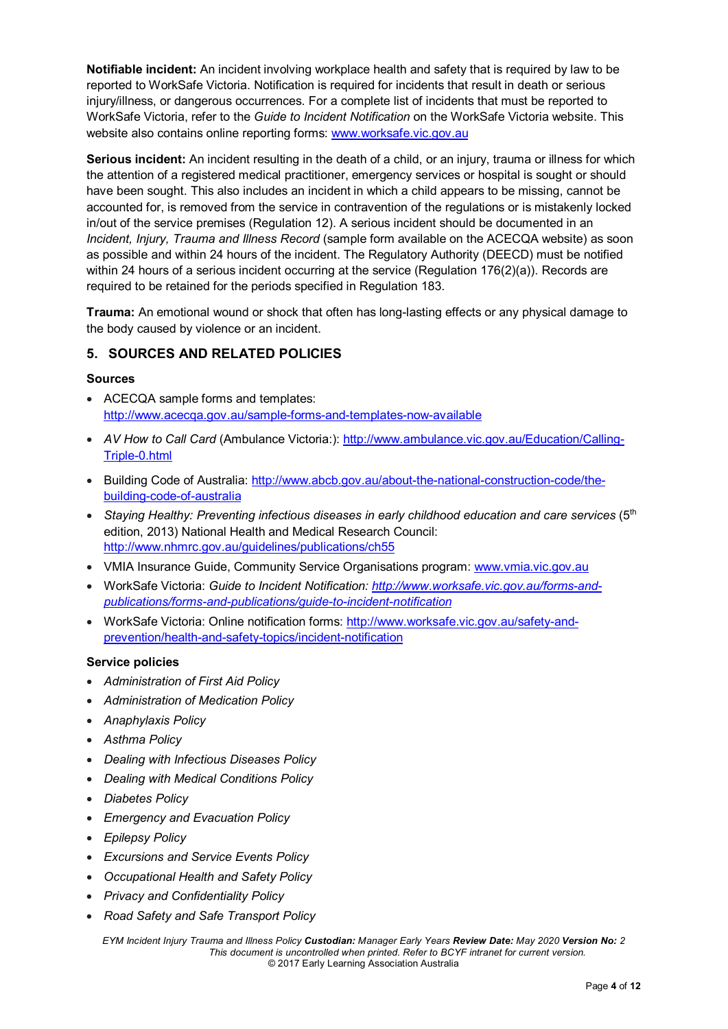**Notifiable incident:** An incident involving workplace health and safety that is required by law to be reported to WorkSafe Victoria. Notification is required for incidents that result in death or serious injury/illness, or dangerous occurrences. For a complete list of incidents that must be reported to WorkSafe Victoria, refer to the *Guide to Incident Notification* on the WorkSafe Victoria website. This website also contains online reporting forms: [www.worksafe.vic.gov.au](http://www.worksafe.vic.gov.au/)

**Serious incident:** An incident resulting in the death of a child, or an injury, trauma or illness for which the attention of a registered medical practitioner, emergency services or hospital is sought or should have been sought. This also includes an incident in which a child appears to be missing, cannot be accounted for, is removed from the service in contravention of the regulations or is mistakenly locked in/out of the service premises (Regulation 12). A serious incident should be documented in an *Incident, Injury, Trauma and Illness Record* (sample form available on the ACECQA website) as soon as possible and within 24 hours of the incident. The Regulatory Authority (DEECD) must be notified within 24 hours of a serious incident occurring at the service (Regulation 176(2)(a)). Records are required to be retained for the periods specified in Regulation 183.

**Trauma:** An emotional wound or shock that often has long-lasting effects or any physical damage to the body caused by violence or an incident.

### **5. SOURCES AND RELATED POLICIES**

#### **Sources**

- ACECQA sample forms and templates: <http://www.acecqa.gov.au/sample-forms-and-templates-now-available>
- *AV How to Call Card* (Ambulance Victoria:): [http://www.ambulance.vic.gov.au/Education/Calling-](http://www.ambulance.vic.gov.au/Education/Calling-Triple-0.html)[Triple-0.html](http://www.ambulance.vic.gov.au/Education/Calling-Triple-0.html)
- Building Code of Australia: [http://www.abcb.gov.au/about-the-national-construction-code/the](http://www.abcb.gov.au/about-the-national-construction-code/the-building-code-of-australia)[building-code-of-australia](http://www.abcb.gov.au/about-the-national-construction-code/the-building-code-of-australia)
- *Staying Healthy: Preventing infectious diseases in early childhood education and care services* (5<sup>th</sup> edition, 2013) National Health and Medical Research Council: <http://www.nhmrc.gov.au/guidelines/publications/ch55>
- VMIA Insurance Guide, Community Service Organisations program: [www.vmia.vic.gov.au](http://www.vmia.vic.gov.au/)
- WorkSafe Victoria: *Guide to Incident Notification: [http://www.worksafe.vic.gov.au/forms-and](http://www.worksafe.vic.gov.au/forms-and-publications/forms-and-publications/guide-to-incident-notification)[publications/forms-and-publications/guide-to-incident-notification](http://www.worksafe.vic.gov.au/forms-and-publications/forms-and-publications/guide-to-incident-notification)*
- WorkSafe Victoria: Online notification forms: [http://www.worksafe.vic.gov.au/safety-and](http://www.worksafe.vic.gov.au/safety-and-prevention/health-and-safety-topics/incident-notification)[prevention/health-and-safety-topics/incident-notification](http://www.worksafe.vic.gov.au/safety-and-prevention/health-and-safety-topics/incident-notification)

#### **Service policies**

- *Administration of First Aid Policy*
- *Administration of Medication Policy*
- *Anaphylaxis Policy*
- *Asthma Policy*
- *Dealing with Infectious Diseases Policy*
- *Dealing with Medical Conditions Policy*
- *Diabetes Policy*
- *Emergency and Evacuation Policy*
- *Epilepsy Policy*
- *Excursions and Service Events Policy*
- *Occupational Health and Safety Policy*
- *Privacy and Confidentiality Policy*
- *Road Safety and Safe Transport Policy*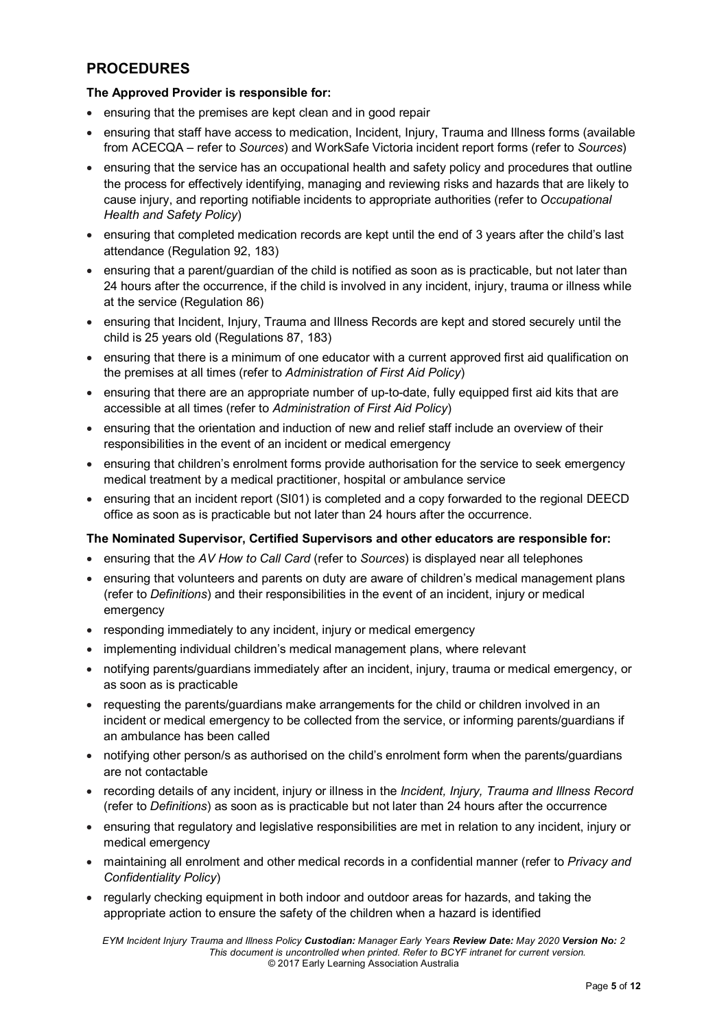# **PROCEDURES**

#### **The Approved Provider is responsible for:**

- ensuring that the premises are kept clean and in good repair
- ensuring that staff have access to medication, Incident, Injury, Trauma and Illness forms (available from ACECQA – refer to *Sources*) and WorkSafe Victoria incident report forms (refer to *Sources*)
- ensuring that the service has an occupational health and safety policy and procedures that outline the process for effectively identifying, managing and reviewing risks and hazards that are likely to cause injury, and reporting notifiable incidents to appropriate authorities (refer to *Occupational Health and Safety Policy*)
- ensuring that completed medication records are kept until the end of 3 years after the child's last attendance (Regulation 92, 183)
- ensuring that a parent/guardian of the child is notified as soon as is practicable, but not later than 24 hours after the occurrence, if the child is involved in any incident, injury, trauma or illness while at the service (Regulation 86)
- ensuring that Incident, Injury, Trauma and Illness Records are kept and stored securely until the child is 25 years old (Regulations 87, 183)
- ensuring that there is a minimum of one educator with a current approved first aid qualification on the premises at all times (refer to *Administration of First Aid Policy*)
- ensuring that there are an appropriate number of up-to-date, fully equipped first aid kits that are accessible at all times (refer to *Administration of First Aid Policy*)
- ensuring that the orientation and induction of new and relief staff include an overview of their responsibilities in the event of an incident or medical emergency
- ensuring that children's enrolment forms provide authorisation for the service to seek emergency medical treatment by a medical practitioner, hospital or ambulance service
- ensuring that an incident report (SI01) is completed and a copy forwarded to the regional DEECD office as soon as is practicable but not later than 24 hours after the occurrence.

#### **The Nominated Supervisor, Certified Supervisors and other educators are responsible for:**

- ensuring that the *AV How to Call Card* (refer to *Sources*) is displayed near all telephones
- ensuring that volunteers and parents on duty are aware of children's medical management plans (refer to *Definitions*) and their responsibilities in the event of an incident, injury or medical emergency
- responding immediately to any incident, injury or medical emergency
- implementing individual children's medical management plans, where relevant
- notifying parents/guardians immediately after an incident, injury, trauma or medical emergency, or as soon as is practicable
- requesting the parents/guardians make arrangements for the child or children involved in an incident or medical emergency to be collected from the service, or informing parents/guardians if an ambulance has been called
- notifying other person/s as authorised on the child's enrolment form when the parents/guardians are not contactable
- recording details of any incident, injury or illness in the *Incident, Injury, Trauma and Illness Record* (refer to *Definitions*) as soon as is practicable but not later than 24 hours after the occurrence
- ensuring that regulatory and legislative responsibilities are met in relation to any incident, injury or medical emergency
- maintaining all enrolment and other medical records in a confidential manner (refer to *Privacy and Confidentiality Policy*)
- regularly checking equipment in both indoor and outdoor areas for hazards, and taking the appropriate action to ensure the safety of the children when a hazard is identified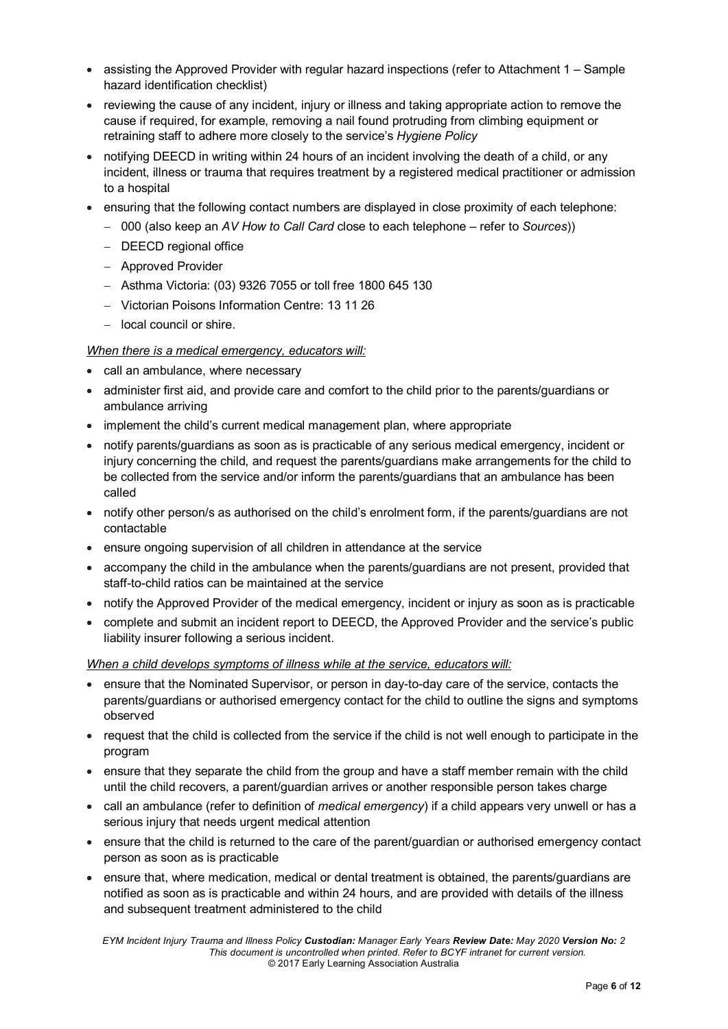- assisting the Approved Provider with regular hazard inspections (refer to Attachment 1 Sample hazard identification checklist)
- reviewing the cause of any incident, injury or illness and taking appropriate action to remove the cause if required, for example, removing a nail found protruding from climbing equipment or retraining staff to adhere more closely to the service's *Hygiene Policy*
- notifying DEECD in writing within 24 hours of an incident involving the death of a child, or any incident, illness or trauma that requires treatment by a registered medical practitioner or admission to a hospital
- ensuring that the following contact numbers are displayed in close proximity of each telephone:
	- − 000 (also keep an *AV How to Call Card* close to each telephone refer to *Sources*))
	- − DEECD regional office
	- − Approved Provider
	- − Asthma Victoria: (03) 9326 7055 or toll free 1800 645 130
	- − Victorian Poisons Information Centre: 13 11 26
	- − local council or shire.

#### *When there is a medical emergency, educators will:*

- call an ambulance, where necessary
- administer first aid, and provide care and comfort to the child prior to the parents/guardians or ambulance arriving
- implement the child's current medical management plan, where appropriate
- notify parents/guardians as soon as is practicable of any serious medical emergency, incident or injury concerning the child, and request the parents/guardians make arrangements for the child to be collected from the service and/or inform the parents/guardians that an ambulance has been called
- notify other person/s as authorised on the child's enrolment form, if the parents/guardians are not contactable
- ensure ongoing supervision of all children in attendance at the service
- accompany the child in the ambulance when the parents/guardians are not present, provided that staff-to-child ratios can be maintained at the service
- notify the Approved Provider of the medical emergency, incident or injury as soon as is practicable
- complete and submit an incident report to DEECD, the Approved Provider and the service's public liability insurer following a serious incident.

#### *When a child develops symptoms of illness while at the service, educators will:*

- ensure that the Nominated Supervisor, or person in day-to-day care of the service, contacts the parents/guardians or authorised emergency contact for the child to outline the signs and symptoms observed
- request that the child is collected from the service if the child is not well enough to participate in the program
- ensure that they separate the child from the group and have a staff member remain with the child until the child recovers, a parent/guardian arrives or another responsible person takes charge
- call an ambulance (refer to definition of *medical emergency*) if a child appears very unwell or has a serious injury that needs urgent medical attention
- ensure that the child is returned to the care of the parent/guardian or authorised emergency contact person as soon as is practicable
- ensure that, where medication, medical or dental treatment is obtained, the parents/guardians are notified as soon as is practicable and within 24 hours, and are provided with details of the illness and subsequent treatment administered to the child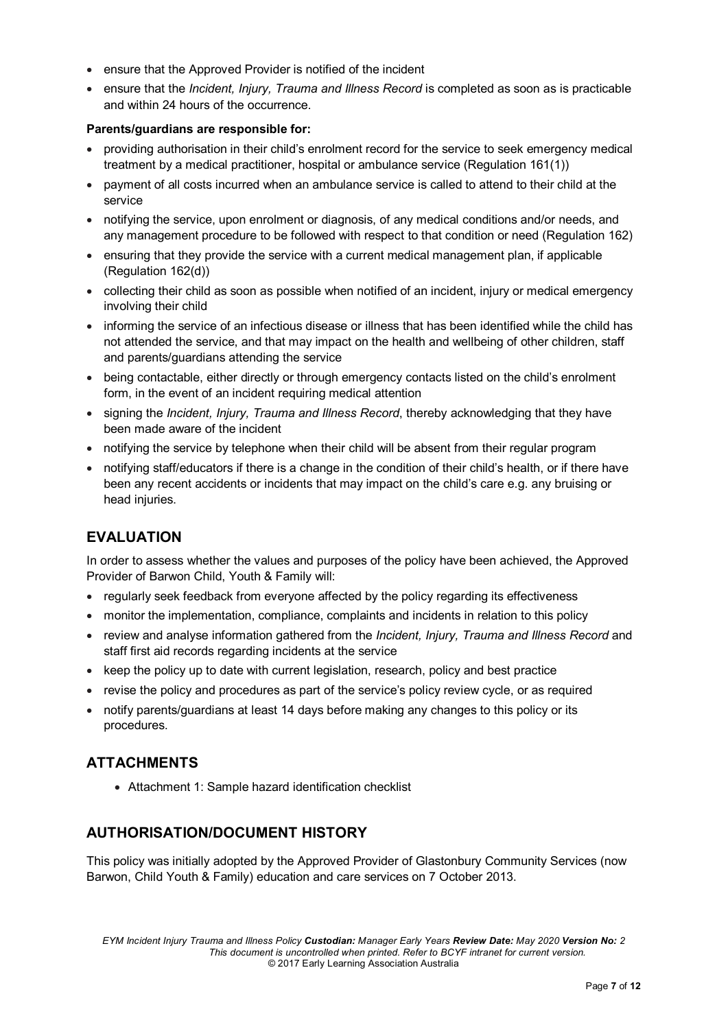- ensure that the Approved Provider is notified of the incident
- ensure that the *Incident, Injury, Trauma and Illness Record* is completed as soon as is practicable and within 24 hours of the occurrence.

#### **Parents/guardians are responsible for:**

- providing authorisation in their child's enrolment record for the service to seek emergency medical treatment by a medical practitioner, hospital or ambulance service (Regulation 161(1))
- payment of all costs incurred when an ambulance service is called to attend to their child at the service
- notifying the service, upon enrolment or diagnosis, of any medical conditions and/or needs, and any management procedure to be followed with respect to that condition or need (Regulation 162)
- ensuring that they provide the service with a current medical management plan, if applicable (Regulation 162(d))
- collecting their child as soon as possible when notified of an incident, injury or medical emergency involving their child
- informing the service of an infectious disease or illness that has been identified while the child has not attended the service, and that may impact on the health and wellbeing of other children, staff and parents/guardians attending the service
- being contactable, either directly or through emergency contacts listed on the child's enrolment form, in the event of an incident requiring medical attention
- signing the *Incident, Injury, Trauma and Illness Record*, thereby acknowledging that they have been made aware of the incident
- notifying the service by telephone when their child will be absent from their regular program
- notifying staff/educators if there is a change in the condition of their child's health, or if there have been any recent accidents or incidents that may impact on the child's care e.g. any bruising or head injuries.

### **EVALUATION**

In order to assess whether the values and purposes of the policy have been achieved, the Approved Provider of Barwon Child, Youth & Family will:

- regularly seek feedback from everyone affected by the policy regarding its effectiveness
- monitor the implementation, compliance, complaints and incidents in relation to this policy
- review and analyse information gathered from the *Incident, Injury, Trauma and Illness Record* and staff first aid records regarding incidents at the service
- keep the policy up to date with current legislation, research, policy and best practice
- revise the policy and procedures as part of the service's policy review cycle, or as required
- notify parents/guardians at least 14 days before making any changes to this policy or its procedures.

### **ATTACHMENTS**

• Attachment 1: Sample hazard identification checklist

### **AUTHORISATION/DOCUMENT HISTORY**

This policy was initially adopted by the Approved Provider of Glastonbury Community Services (now Barwon, Child Youth & Family) education and care services on 7 October 2013.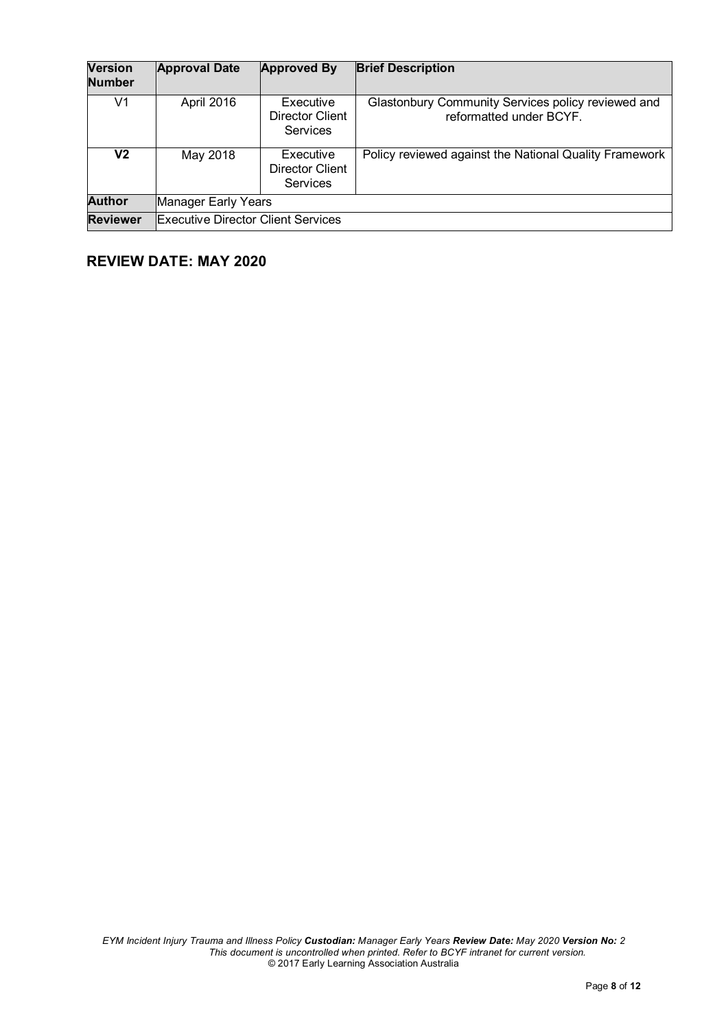| <b>Version</b><br><b>Number</b> | <b>Approval Date</b>                      | <b>Approved By</b>                                     | <b>Brief Description</b>                                                      |
|---------------------------------|-------------------------------------------|--------------------------------------------------------|-------------------------------------------------------------------------------|
| V1                              | April 2016                                | Executive<br>Director Client<br><b>Services</b>        | Glastonbury Community Services policy reviewed and<br>reformatted under BCYF. |
| V2                              | May 2018                                  | Executive<br><b>Director Client</b><br><b>Services</b> | Policy reviewed against the National Quality Framework                        |
| <b>Author</b>                   | Manager Early Years                       |                                                        |                                                                               |
| <b>Reviewer</b>                 | <b>Executive Director Client Services</b> |                                                        |                                                                               |

# **REVIEW DATE: MAY 2020**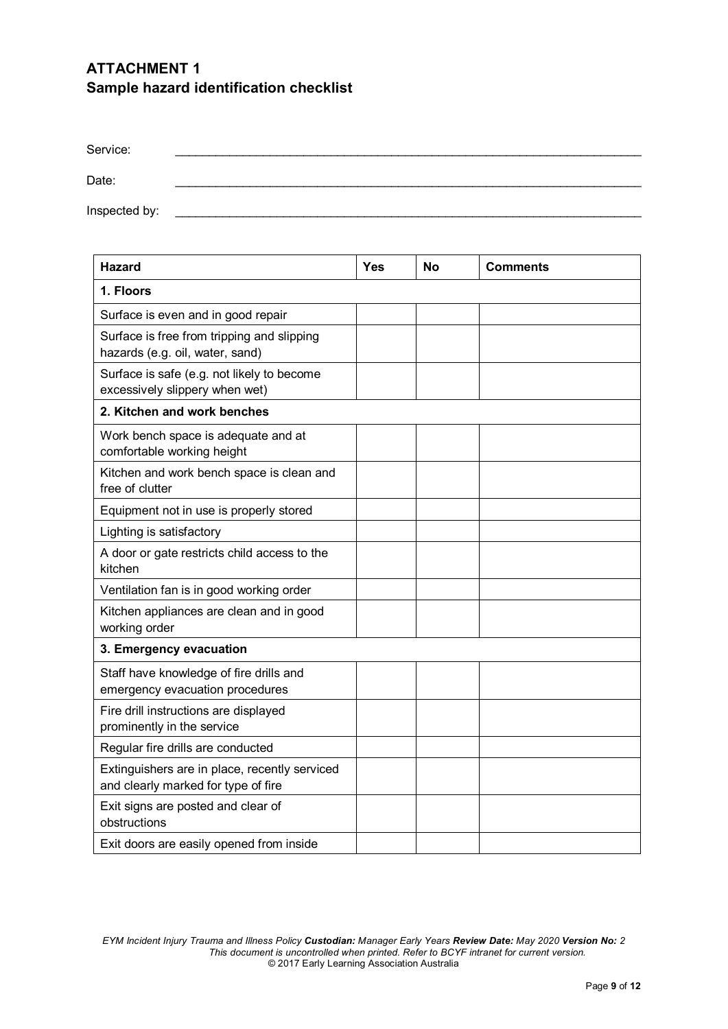# **ATTACHMENT 1 Sample hazard identification checklist**

| Service:      |  |
|---------------|--|
| Date:         |  |
| Inspected by: |  |

| <b>Hazard</b>                                                                        | Yes | No | <b>Comments</b> |  |  |
|--------------------------------------------------------------------------------------|-----|----|-----------------|--|--|
| 1. Floors                                                                            |     |    |                 |  |  |
| Surface is even and in good repair                                                   |     |    |                 |  |  |
| Surface is free from tripping and slipping<br>hazards (e.g. oil, water, sand)        |     |    |                 |  |  |
| Surface is safe (e.g. not likely to become<br>excessively slippery when wet)         |     |    |                 |  |  |
| 2. Kitchen and work benches                                                          |     |    |                 |  |  |
| Work bench space is adequate and at<br>comfortable working height                    |     |    |                 |  |  |
| Kitchen and work bench space is clean and<br>free of clutter                         |     |    |                 |  |  |
| Equipment not in use is properly stored                                              |     |    |                 |  |  |
| Lighting is satisfactory                                                             |     |    |                 |  |  |
| A door or gate restricts child access to the<br>kitchen                              |     |    |                 |  |  |
| Ventilation fan is in good working order                                             |     |    |                 |  |  |
| Kitchen appliances are clean and in good<br>working order                            |     |    |                 |  |  |
| 3. Emergency evacuation                                                              |     |    |                 |  |  |
| Staff have knowledge of fire drills and<br>emergency evacuation procedures           |     |    |                 |  |  |
| Fire drill instructions are displayed<br>prominently in the service                  |     |    |                 |  |  |
| Regular fire drills are conducted                                                    |     |    |                 |  |  |
| Extinguishers are in place, recently serviced<br>and clearly marked for type of fire |     |    |                 |  |  |
| Exit signs are posted and clear of<br>obstructions                                   |     |    |                 |  |  |
| Exit doors are easily opened from inside                                             |     |    |                 |  |  |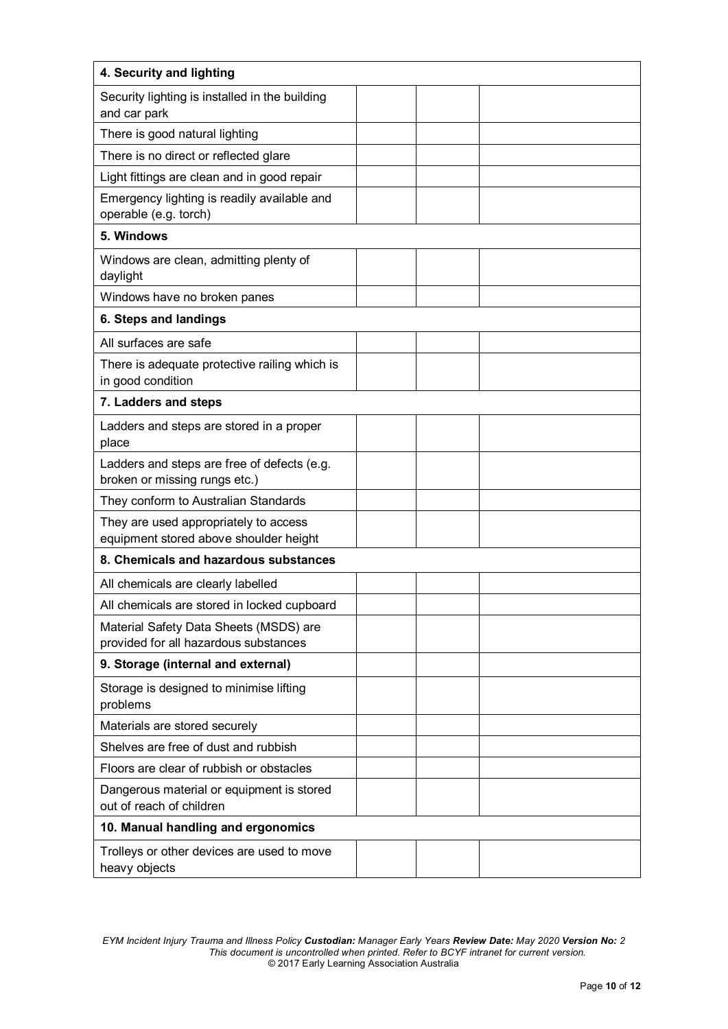| 4. Security and lighting                                                        |  |  |  |  |
|---------------------------------------------------------------------------------|--|--|--|--|
| Security lighting is installed in the building<br>and car park                  |  |  |  |  |
| There is good natural lighting                                                  |  |  |  |  |
| There is no direct or reflected glare                                           |  |  |  |  |
| Light fittings are clean and in good repair                                     |  |  |  |  |
| Emergency lighting is readily available and<br>operable (e.g. torch)            |  |  |  |  |
| 5. Windows                                                                      |  |  |  |  |
| Windows are clean, admitting plenty of<br>daylight                              |  |  |  |  |
| Windows have no broken panes                                                    |  |  |  |  |
| 6. Steps and landings                                                           |  |  |  |  |
| All surfaces are safe                                                           |  |  |  |  |
| There is adequate protective railing which is<br>in good condition              |  |  |  |  |
| 7. Ladders and steps                                                            |  |  |  |  |
| Ladders and steps are stored in a proper<br>place                               |  |  |  |  |
| Ladders and steps are free of defects (e.g.<br>broken or missing rungs etc.)    |  |  |  |  |
| They conform to Australian Standards                                            |  |  |  |  |
| They are used appropriately to access<br>equipment stored above shoulder height |  |  |  |  |
| 8. Chemicals and hazardous substances                                           |  |  |  |  |
| All chemicals are clearly labelled                                              |  |  |  |  |
| All chemicals are stored in locked cupboard                                     |  |  |  |  |
| Material Safety Data Sheets (MSDS) are<br>provided for all hazardous substances |  |  |  |  |
| 9. Storage (internal and external)                                              |  |  |  |  |
| Storage is designed to minimise lifting<br>problems                             |  |  |  |  |
| Materials are stored securely                                                   |  |  |  |  |
| Shelves are free of dust and rubbish                                            |  |  |  |  |
| Floors are clear of rubbish or obstacles                                        |  |  |  |  |
| Dangerous material or equipment is stored<br>out of reach of children           |  |  |  |  |
| 10. Manual handling and ergonomics                                              |  |  |  |  |
| Trolleys or other devices are used to move<br>heavy objects                     |  |  |  |  |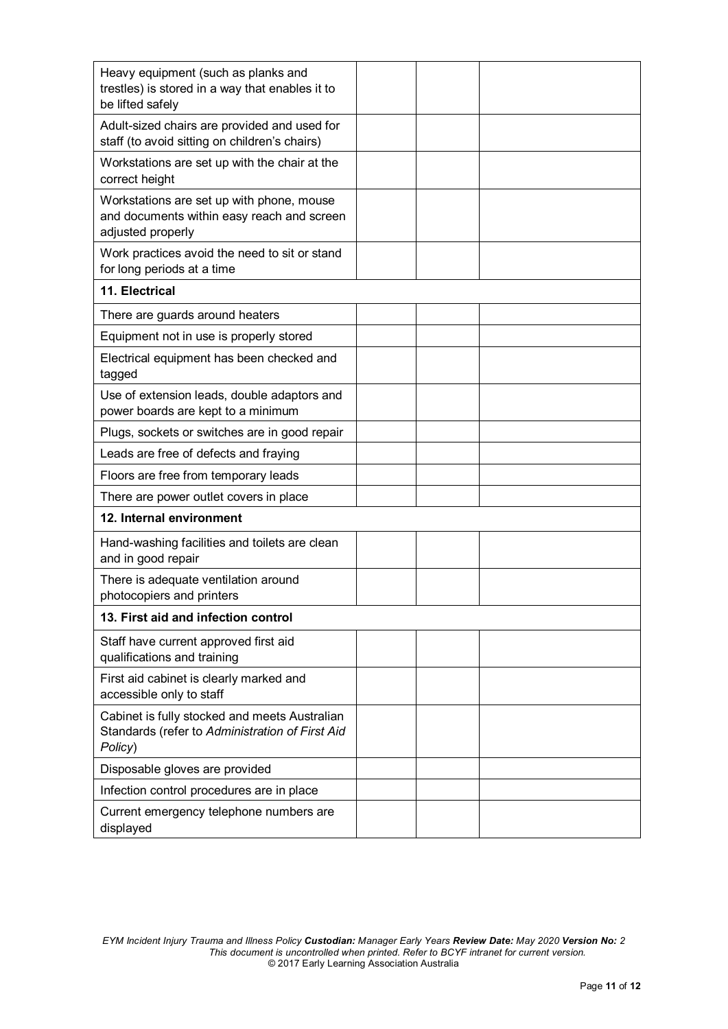| Heavy equipment (such as planks and<br>trestles) is stored in a way that enables it to<br>be lifted safely   |  |  |  |  |  |
|--------------------------------------------------------------------------------------------------------------|--|--|--|--|--|
|                                                                                                              |  |  |  |  |  |
| Adult-sized chairs are provided and used for<br>staff (to avoid sitting on children's chairs)                |  |  |  |  |  |
| Workstations are set up with the chair at the<br>correct height                                              |  |  |  |  |  |
| Workstations are set up with phone, mouse<br>and documents within easy reach and screen<br>adjusted properly |  |  |  |  |  |
| Work practices avoid the need to sit or stand<br>for long periods at a time                                  |  |  |  |  |  |
| 11. Electrical                                                                                               |  |  |  |  |  |
| There are guards around heaters                                                                              |  |  |  |  |  |
| Equipment not in use is properly stored                                                                      |  |  |  |  |  |
| Electrical equipment has been checked and<br>tagged                                                          |  |  |  |  |  |
| Use of extension leads, double adaptors and<br>power boards are kept to a minimum                            |  |  |  |  |  |
| Plugs, sockets or switches are in good repair                                                                |  |  |  |  |  |
| Leads are free of defects and fraying                                                                        |  |  |  |  |  |
| Floors are free from temporary leads                                                                         |  |  |  |  |  |
| There are power outlet covers in place                                                                       |  |  |  |  |  |
| 12. Internal environment                                                                                     |  |  |  |  |  |
| Hand-washing facilities and toilets are clean<br>and in good repair                                          |  |  |  |  |  |
| There is adequate ventilation around<br>photocopiers and printers                                            |  |  |  |  |  |
| 13. First aid and infection control                                                                          |  |  |  |  |  |
| Staff have current approved first aid<br>qualifications and training                                         |  |  |  |  |  |
| First aid cabinet is clearly marked and<br>accessible only to staff                                          |  |  |  |  |  |
| Cabinet is fully stocked and meets Australian<br>Standards (refer to Administration of First Aid<br>Policy)  |  |  |  |  |  |
| Disposable gloves are provided                                                                               |  |  |  |  |  |
| Infection control procedures are in place                                                                    |  |  |  |  |  |
| Current emergency telephone numbers are<br>displayed                                                         |  |  |  |  |  |